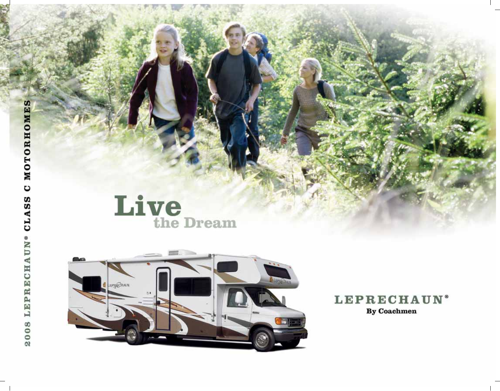



## **LEPRECHAUN®** By Coachmen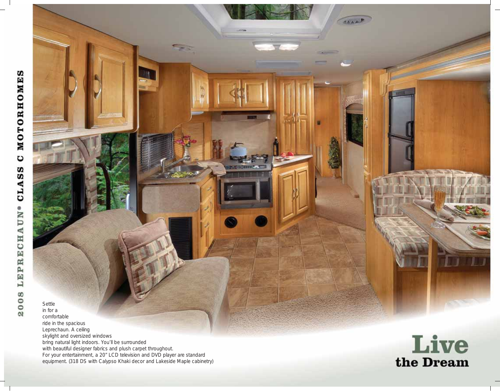Settle in for a comfortable ride in the spacious Leprechaun. A ceiling skylight and oversized windows bring natural light indoors. You'll be surrounded with beautiful designer fabrics and plush carpet throughout. For your entertainment, a 20" LCD television and DVD player are standard equipment. (318 DS with Calypso Khaki decor and Lakeside Maple cabinetry)



**CALL**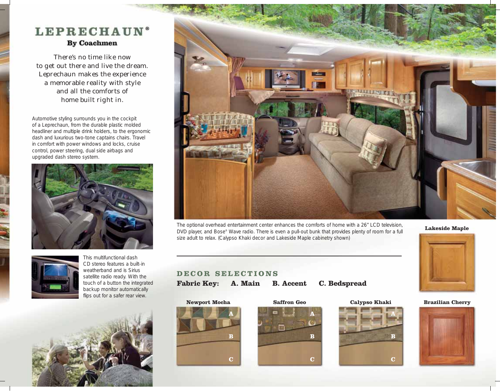# LEPRECHAUN<sup>®</sup> **By Coachmen**

There's no time like now to get out there and live the dream. Leprechaun makes the experience a memorable reality with style and all the comforts of home built right in.

Automotive styling surrounds you in the cockpit of a Leprechaun, from the durable plastic molded headliner and multiple drink holders, to the ergonomic dash and luxurious two-tone captains chairs. Travel in comfort with power windows and locks, cruise control, power steering, dual side airbags and upgraded dash stereo system.





This multifunctional dash CD stereo features a built-in weatherband and is Sirius satellite radio ready. With the touch of a button the integrated backup monitor automatically flips out for a safer rear view.





The optional overhead entertainment center enhances the comforts of home with a 26" LCD television, DVD player, and Bose® Wave radio. There is even a pull-out bunk that provides plenty of room for a full size adult to relax. (Calypso Khaki decor and Lakeside Maple cabinetry shown)

**Lakeside Maple**



## **DECOR SELECTIONS**

**Fabric Key: A. Main B. Accent C. Bedspread**







**Newport Mocha Saffron Geo Calypso Khaki Brazilian Cherry**

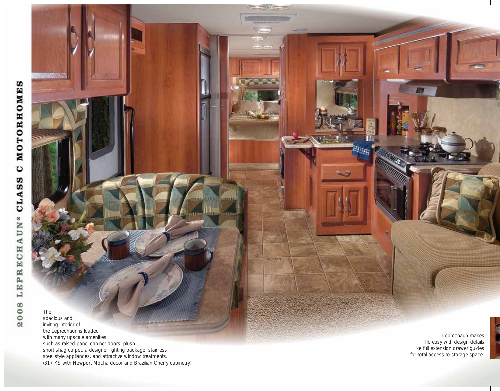**MORAWSON CAR** 

The spacious and inviting interior of the Leprechaun is loaded with many upscale amenities such as raised panel cabinet doors, plush short shag carpet, a designer lighting package, stainless steel style appliances, and attractive window treatments. (317 KS with Newport Mocha decor and Brazilian Cherry cabinetry) alambano.

 $11111$ 

**STERE** 

HHH

Leprechaun makes life easy with design details like full extension drawer guides for total access to storage space.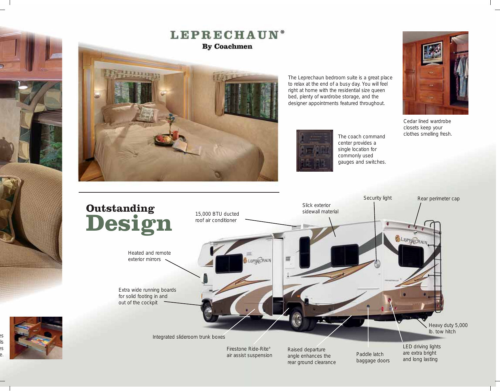

### **LEPRECHAUN® By Coachmen**



The Leprechaun bedroom suite is a great place to relax at the end of a busy day. You will feel right at home with the residential size queen bed, plenty of wardrobe storage, and the designer appointments featured throughout.



rear ground clearance

The coach command center provides a single location for commonly used gauges and switches.



Cedar lined wardrobe closets keep your clothes smelling fresh.

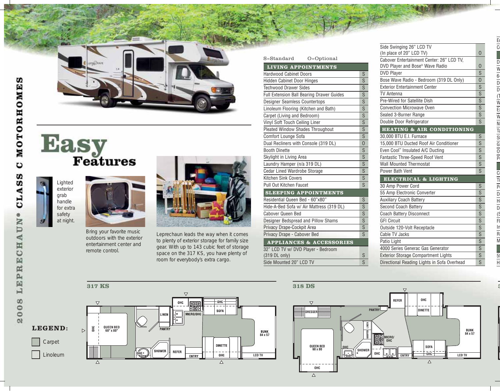







Bring your favorite music outdoors with the exterior entertainment center and remote control.



Leprechaun leads the way when it comes to plenty of exterior storage for family size gear. With up to 143 cubic feet of storage space on the 317 KS, you have plenty of room for everybody's extra cargo.

| S=Standard<br>O=Optional                         |                                  |  |  |  |
|--------------------------------------------------|----------------------------------|--|--|--|
| <b>LIVING APPOINTMENTS</b>                       |                                  |  |  |  |
| <b>Hardwood Cabinet Doors</b>                    |                                  |  |  |  |
| <b>Hidden Cabinet Door Hinges</b>                |                                  |  |  |  |
| <b>Techwood Drawer Sides</b>                     |                                  |  |  |  |
| <b>Full Extension Ball Bearing Drawer Guides</b> |                                  |  |  |  |
| Designer Seamless Countertops                    | $\overline{s}$                   |  |  |  |
| Linoleum Flooring (Kitchen and Bath)             |                                  |  |  |  |
| Carpet (Living and Bedroom)                      | $\overline{s}$                   |  |  |  |
| Vinyl Soft Touch Ceiling Liner                   | S                                |  |  |  |
| Pleated Window Shades Throughout                 | S                                |  |  |  |
| Comfort Lounge Sofa                              | S                                |  |  |  |
| Dual Recliners with Console (319 DL)             | $\overline{0}$                   |  |  |  |
| <b>Booth Dinette</b>                             |                                  |  |  |  |
| Skylight in Living Area                          | S<br>$\overline{s}$              |  |  |  |
| Laundry Hamper (n/a 319 DL)                      |                                  |  |  |  |
| <b>Cedar Lined Wardrobe Storage</b>              | $\overline{s}$<br>$\overline{s}$ |  |  |  |
| <b>Kitchen Sink Covers</b>                       |                                  |  |  |  |
| Pull Out Kitchen Faucet                          | S                                |  |  |  |
| <b>SLEEPING APPOINTMENTS</b>                     |                                  |  |  |  |
| Residential Queen Bed - 60"x80"                  | S                                |  |  |  |
| Hide-A-Bed Sofa w/ Air Mattress (319 DL)         | S                                |  |  |  |
| Cabover Queen Bed                                | S                                |  |  |  |
| Designer Bedspread and Pillow Shams              | $\overline{s}$                   |  |  |  |
| Privacy Drape-Cockpit Area                       | S                                |  |  |  |
| Privacy Drape - Cabover Bed                      | $\overline{s}$                   |  |  |  |
| <b>APPLIANCES &amp; ACCESSORIES</b>              |                                  |  |  |  |
| 32" LCD TV w/ DVD Player - Bedroom               |                                  |  |  |  |
| (319 DL only)                                    | S                                |  |  |  |
| Side Mounted 20" LCD TV                          | $\overline{\mathsf{s}}$          |  |  |  |

| Side Swinging 26" LCD TV                    |                                           |  |  |
|---------------------------------------------|-------------------------------------------|--|--|
| (In place of 20" LCD TV)                    |                                           |  |  |
| Cabover Entertainment Center: 26" LCD TV.   |                                           |  |  |
| DVD Player and Bose <sup>®</sup> Wave Radio |                                           |  |  |
| <b>DVD Player</b>                           |                                           |  |  |
| Bose Wave Radio - Bedroom (319 DL Only)     |                                           |  |  |
| <b>Exterior Entertainment Center</b>        | S                                         |  |  |
| <b>TV Antenna</b>                           | S<br>$\overline{s}$                       |  |  |
| Pre-Wired for Satellite Dish                |                                           |  |  |
| <b>Convection Microwave Oven</b>            |                                           |  |  |
| Sealed 3-Burner Range                       |                                           |  |  |
| Double Door Refrigerator                    | S.                                        |  |  |
| <b>HEATING &amp; AIR CONDITIONING</b>       |                                           |  |  |
| 30,000 BTU E.I. Furnace                     | S                                         |  |  |
| 15,000 BTU Ducted Roof Air Conditioner      |                                           |  |  |
| Even Cool" Insulated A/C Ducting            | S                                         |  |  |
| Fantastic Three-Speed Roof Vent             | $\overline{\mathsf{s}}$<br>$\overline{s}$ |  |  |
| <b>Wall Mounted Thermostat</b>              |                                           |  |  |
| Power Bath Vent                             | S                                         |  |  |
| <b>ELECTRICAL &amp; LIGHTING</b>            |                                           |  |  |
| 30 Amp Power Cord                           | S                                         |  |  |
| 55 Amp Electronic Converter                 | $\overline{s}$                            |  |  |
| <b>Auxiliary Coach Battery</b>              | S                                         |  |  |
| Second Coach Battery                        | $\overline{s}$                            |  |  |
| <b>Coach Battery Disconnect</b>             | S                                         |  |  |
| <b>GFI Circuit</b>                          | $\overline{\mathsf{S}}$                   |  |  |
| Outside 120-Volt Receptacle                 | S                                         |  |  |
| Cable TV Jacks                              | $\overline{s}$                            |  |  |
| Patio Light                                 | S                                         |  |  |
| 4000 Series Generac Gas Generator           | S                                         |  |  |
| <b>Exterior Storage Compartment Lights</b>  | S                                         |  |  |
| Directional Reading Lights in Sofa Overhead | $\overline{\mathsf{S}}$                   |  |  |







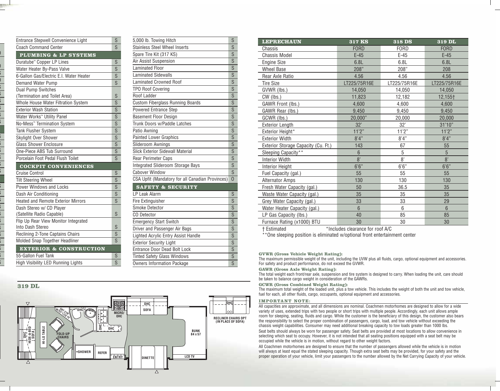| Entrance Stepwell Convenience Light        |    |  |  |  |
|--------------------------------------------|----|--|--|--|
| <b>Coach Command Center</b>                |    |  |  |  |
| PLUMBING & LP SYSTEMS                      |    |  |  |  |
| Duratube™ Copper LP Lines                  |    |  |  |  |
| Water Heater By-Pass Valve                 |    |  |  |  |
| 6-Gallon Gas/Electric E.I. Water Heater    |    |  |  |  |
| Demand Water Pump                          | S  |  |  |  |
| <b>Dual Pump Switches</b>                  |    |  |  |  |
| (Termination and Toilet Area)              | S  |  |  |  |
| <b>Whole House Water Filtration System</b> | S  |  |  |  |
| <b>Exterior Wash Station</b>               | S  |  |  |  |
| Water Works <sup>™</sup> Utility Panel     | S  |  |  |  |
| No-Mess <sup>™</sup> Termination System    | S  |  |  |  |
| <b>Tank Flusher System</b>                 | S  |  |  |  |
| Skylight Over Shower                       | S  |  |  |  |
| <b>Glass Shower Enclosure</b>              | S  |  |  |  |
| One-Piece ABS Tub Surround                 | S  |  |  |  |
| Porcelain Foot Pedal Flush Toilet          | S  |  |  |  |
|                                            |    |  |  |  |
| <b>COCKPIT CONVENIENCES</b>                |    |  |  |  |
| <b>Cruise Control</b>                      | S  |  |  |  |
| <b>Tilt Steering Wheel</b>                 | S  |  |  |  |
| <b>Power Windows and Locks</b>             | S  |  |  |  |
| Dash Air Conditioning                      | S  |  |  |  |
| <b>Heated and Remote Exterior Mirrors</b>  | S  |  |  |  |
| Dash Stereo w/ CD Player                   |    |  |  |  |
| (Satellite Radio Capable)                  | S  |  |  |  |
| Flip Up Rear View Monitor Integrated       |    |  |  |  |
| Into Dash Stereo                           | S  |  |  |  |
| Reclining 2-Tone Captains Chairs           | S  |  |  |  |
| Molded Snap Together Headliner             | S. |  |  |  |
| <b>EXTERIOR &amp; CONSTRUCTION</b>         |    |  |  |  |
| 55-Gallon Fuel Tank                        | S  |  |  |  |

| 5,000 lb. Towing Hitch                           |                         |  |  |  |
|--------------------------------------------------|-------------------------|--|--|--|
| <b>Stainless Steel Wheel Inserts</b>             |                         |  |  |  |
| Spare Tire Kit (317 KS)                          |                         |  |  |  |
| Air Assist Suspension                            | $\overline{\mathsf{s}}$ |  |  |  |
| <b>Laminated Floor</b>                           |                         |  |  |  |
| <b>Laminated Sidewalls</b>                       |                         |  |  |  |
| <b>Laminated Crowned Roof</b>                    |                         |  |  |  |
| <b>TPO Roof Covering</b>                         | $\overline{s}$          |  |  |  |
| Roof Ladder                                      |                         |  |  |  |
| <b>Custom Fiberglass Running Boards</b>          | S                       |  |  |  |
| Powered Entrance Step                            | $\overline{\mathsf{s}}$ |  |  |  |
| <b>Basement Floor Design</b>                     | S                       |  |  |  |
| Trunk Doors w/Paddle Latches                     |                         |  |  |  |
| Patio Awning                                     | S                       |  |  |  |
| <b>Painted Lower Graphics</b>                    | S                       |  |  |  |
| Slideroom Awnings                                |                         |  |  |  |
| <b>Slick Exterior Sidewall Material</b>          |                         |  |  |  |
| Rear Perimeter Caps                              |                         |  |  |  |
| <b>Integrated Slideroom Storage Bays</b>         | $\overline{\mathsf{S}}$ |  |  |  |
| <b>Cabover Window</b>                            |                         |  |  |  |
| CSA Upfit (Mandatory for all Canadian Provinces) | $\Omega$                |  |  |  |
| <b>SAFETY &amp; SECURITY</b>                     |                         |  |  |  |
| LP Leak Alarm                                    | S                       |  |  |  |
| Fire Extinguisher                                | S                       |  |  |  |
| Smoke Detector                                   | S                       |  |  |  |
| CO Detector                                      | S                       |  |  |  |
| <b>Emergency Start Switch</b>                    | $\overline{s}$          |  |  |  |
| Driver and Passenger Air Bags                    | $\overline{s}$          |  |  |  |
| Lighted Acrylic Entry Assist Handle              | $\overline{s}$          |  |  |  |
| <b>Exterior Security Light</b>                   | S                       |  |  |  |
| Entrance Door Dead Bolt Lock                     | S                       |  |  |  |
| <b>Tinted Safety Glass Windows</b>               | S                       |  |  |  |
| <b>Owners Information Package</b>                | $\overline{s}$          |  |  |  |

### **319 DL**



| <b>LEPRECHAUN</b>                   | 317 KS         | 318 DS       | $\overline{319}$ DL |
|-------------------------------------|----------------|--------------|---------------------|
| Chassis                             | <b>FORD</b>    | <b>FORD</b>  | <b>FORD</b>         |
| <b>Chassis Model</b>                | $E-45$         | $E-45$       | $E-45$              |
| <b>Engine Size</b>                  | 6.8L           | 6.8L         | 6.8L                |
| <b>Wheel Base</b>                   | 208"           | 208"         | 208                 |
| Rear Axle Ratio                     | 4.56           | 4.56         | 4.56                |
| <b>Tire Size</b>                    | LT225/75R16E   | LT225/75R16E | LT225/75R16E        |
| GVWR (lbs.)                         | 14.050         | 14,050       | 14,050              |
| CW (lbs.)                           | 11,823         | 12,182       | 12,155†             |
| GAWR Front (lbs.)                   | 4,600          | 4,600        | 4,600               |
| GAWR Rear (lbs.)                    | 9,450          | 9,450        | 9,450               |
| GCWR (lbs.)                         | 20,000"        | 20,000       | 20.000              |
| <b>Exterior Length</b>              | 32'            | 32'          | 31'10"              |
| Exterior Height*                    | 11'2"          | 11'2"        | 11'2"               |
| <b>Exterior Width</b>               | 8'4"           | 8'4''        | 8'4"                |
| Exterior Storage Capacity (Cu. Ft.) | 143            | 67           | 55                  |
| Sleeping Capacity**                 | 6              | 5            | 5                   |
| <b>Interior Width</b>               | 8'             | 8'           | 8'                  |
| <b>Interior Height</b>              | 6'6''          | 6'6''        | 6'6''               |
| Fuel Capacity (gal.)                | 55             | 55           | 55                  |
| <b>Alternator Amps</b>              | 130            | 130          | 130                 |
| Fresh Water Capacity (gal.)         | 50             | 36.5         | 35                  |
| Waste Water Capacity (gal.)         | 35             | 35           | 35                  |
| Grey Water Capacity (gal.)          | 33             | 33           | 29                  |
| Water Heater Capacity (gal.)        | $6\phantom{1}$ | 6            | $6\phantom{1}$      |
| LP Gas Capacity (lbs.)              | 40             | 85           | 85                  |
| Furnace Rating (x1000) BTU          | 30             | 30           | 30                  |

† Estimated \*Includes clearance for roof A/C

\*\*One sleeping position is eliminated w/optional front entertainment center

#### **GVWR (Gross Vehicle Weight Rating):**

The maximum permissible weight of the unit, including the UVW plus all fluids, cargo, optional equipment and accessories. For safety and product performance, do not exceed the GVWR.

#### **GAWR (Gross Axle Weight Rating):**

The total weight each front/rear axle, suspension and tire system is designed to carry. When loading the unit, care should be taken to balance cargo weight in consideration of the GAWRs.

#### **GCWR (Gross Combined Weight Rating):**

The maximum total weight of the loaded unit, plus a tow vehicle. This includes the weight of both the unit and tow vehicle, fuel for each, all other fluids, cargo, occupants, optional equipment and accessories.

#### **IMPORTANT NOTE:**

All capacities are approximate, and all dimensions are nominal. Coachmen motorhomes are designed to allow for a wide variety of uses, extended trips with two people or short trips with multiple people. Accordingly, each unit allows ample room for sleeping, seating, fluids and cargo. While the customer is the beneficiary of this design, the customer also bears the responsibility to select the proper combination of passengers, cargo, load, and tow vehicle without exceeding the chassis weight capabilities. Consumer may need additional breaking capacity to tow loads greater than 1000 lbs.

Seat belts should always be worn for passenger safety. Seat belts are provided at most locations to allow convenience in selecting which seat to occupy. However, it is not intended that all seating positions equipped with a seat belt may be occupied while the vehicle is in motion, without regard to other weight factors.

All Coachmen motorhomes are designed to ensure that the number of passengers allowed while the vehicle is in motion will always at least equal the stated sleeping capacity. Though extra seat belts may be provided, for your safety and the proper operation of your vehicle, limit your passengers to the number allowed by the Net Carrying Capacity of your vehicle.